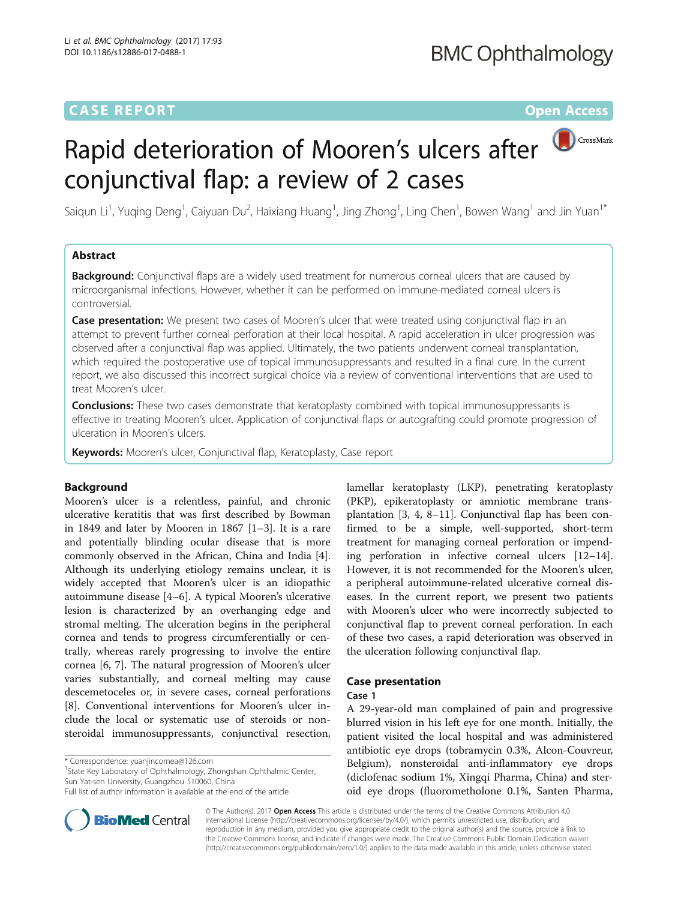# **CASE REPORT CASE REPORT CASE REPORT**

# CrossMark Rapid deterioration of Mooren's ulcers after conjunctival flap: a review of 2 cases

Saiqun Li<sup>1</sup>, Yuqing Deng<sup>1</sup>, Caiyuan Du<sup>2</sup>, Haixiang Huang<sup>1</sup>, Jing Zhong<sup>1</sup>, Ling Chen<sup>1</sup>, Bowen Wang<sup>1</sup> and Jin Yuan<sup>1\*</sup>

### Abstract

**Background:** Conjunctival flaps are a widely used treatment for numerous corneal ulcers that are caused by microorganismal infections. However, whether it can be performed on immune-mediated corneal ulcers is controversial.

**Case presentation:** We present two cases of Mooren's ulcer that were treated using conjunctival flap in an attempt to prevent further corneal perforation at their local hospital. A rapid acceleration in ulcer progression was observed after a conjunctival flap was applied. Ultimately, the two patients underwent corneal transplantation, which required the postoperative use of topical immunosuppressants and resulted in a final cure. In the current report, we also discussed this incorrect surgical choice via a review of conventional interventions that are used to treat Mooren's ulcer.

**Conclusions:** These two cases demonstrate that keratoplasty combined with topical immunosuppressants is effective in treating Mooren's ulcer. Application of conjunctival flaps or autografting could promote progression of ulceration in Mooren's ulcers.

Keywords: Mooren's ulcer, Conjunctival flap, Keratoplasty, Case report

### Background

Mooren's ulcer is a relentless, painful, and chronic ulcerative keratitis that was first described by Bowman in 1849 and later by Mooren in 1867 [[1](#page-4-0)–[3\]](#page-4-0). It is a rare and potentially blinding ocular disease that is more commonly observed in the African, China and India [\[4](#page-4-0)]. Although its underlying etiology remains unclear, it is widely accepted that Mooren's ulcer is an idiopathic autoimmune disease [[4](#page-4-0)–[6](#page-4-0)]. A typical Mooren's ulcerative lesion is characterized by an overhanging edge and stromal melting. The ulceration begins in the peripheral cornea and tends to progress circumferentially or centrally, whereas rarely progressing to involve the entire cornea [[6, 7](#page-4-0)]. The natural progression of Mooren's ulcer varies substantially, and corneal melting may cause descemetoceles or, in severe cases, corneal perforations [[8\]](#page-4-0). Conventional interventions for Mooren's ulcer include the local or systematic use of steroids or nonsteroidal immunosuppressants, conjunctival resection,

<sup>1</sup>State Key Laboratory of Ophthalmology, Zhongshan Ophthalmic Center, Sun Yat-sen University, Guangzhou 510060, China



# Case presentation

### Case 1

A 29-year-old man complained of pain and progressive blurred vision in his left eye for one month. Initially, the patient visited the local hospital and was administered antibiotic eye drops (tobramycin 0.3%, Alcon-Couvreur, Belgium), nonsteroidal anti-inflammatory eye drops (diclofenac sodium 1%, Xingqi Pharma, China) and steroid eye drops (fluorometholone 0.1%, Santen Pharma,



© The Author(s). 2017 Open Access This article is distributed under the terms of the Creative Commons Attribution 4.0 International License [\(http://creativecommons.org/licenses/by/4.0/](http://creativecommons.org/licenses/by/4.0/)), which permits unrestricted use, distribution, and reproduction in any medium, provided you give appropriate credit to the original author(s) and the source, provide a link to the Creative Commons license, and indicate if changes were made. The Creative Commons Public Domain Dedication waiver [\(http://creativecommons.org/publicdomain/zero/1.0/](http://creativecommons.org/publicdomain/zero/1.0/)) applies to the data made available in this article, unless otherwise stated.

<sup>\*</sup> Correspondence: [yuanjincornea@126.com](mailto:yuanjincornea@126.com) <sup>1</sup>

Full list of author information is available at the end of the article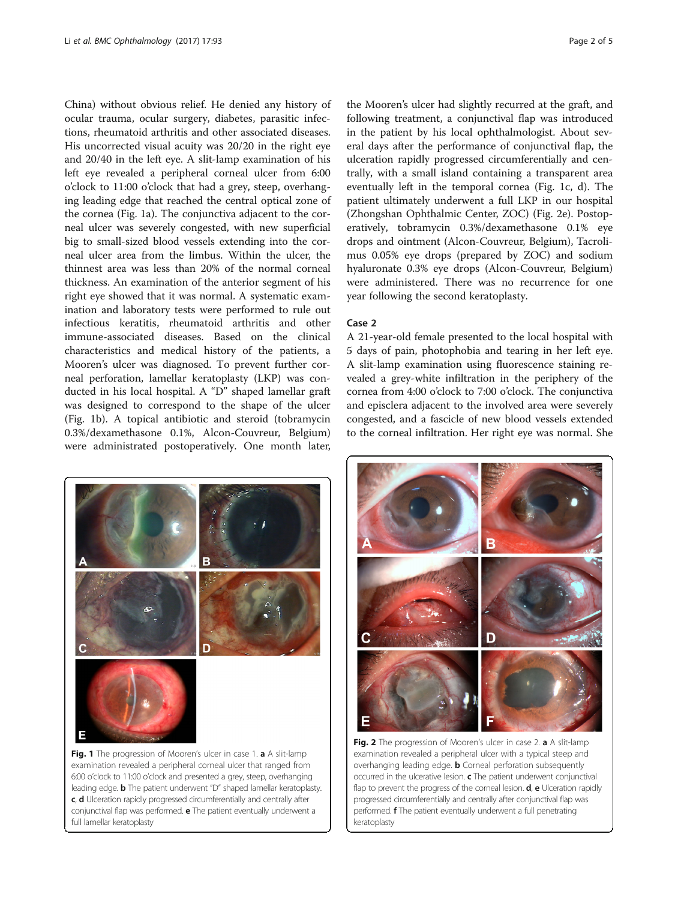<span id="page-1-0"></span>China) without obvious relief. He denied any history of ocular trauma, ocular surgery, diabetes, parasitic infections, rheumatoid arthritis and other associated diseases. His uncorrected visual acuity was 20/20 in the right eye and 20/40 in the left eye. A slit-lamp examination of his left eye revealed a peripheral corneal ulcer from 6:00 o'clock to 11:00 o'clock that had a grey, steep, overhanging leading edge that reached the central optical zone of the cornea (Fig. 1a). The conjunctiva adjacent to the corneal ulcer was severely congested, with new superficial big to small-sized blood vessels extending into the corneal ulcer area from the limbus. Within the ulcer, the thinnest area was less than 20% of the normal corneal thickness. An examination of the anterior segment of his right eye showed that it was normal. A systematic examination and laboratory tests were performed to rule out infectious keratitis, rheumatoid arthritis and other immune-associated diseases. Based on the clinical characteristics and medical history of the patients, a Mooren's ulcer was diagnosed. To prevent further corneal perforation, lamellar keratoplasty (LKP) was conducted in his local hospital. A "D" shaped lamellar graft was designed to correspond to the shape of the ulcer (Fig. 1b). A topical antibiotic and steroid (tobramycin 0.3%/dexamethasone 0.1%, Alcon-Couvreur, Belgium) were administrated postoperatively. One month later,



examination revealed a peripheral corneal ulcer that ranged from 6:00 o'clock to 11:00 o'clock and presented a grey, steep, overhanging leading edge. **b** The patient underwent "D" shaped lamellar keratoplasty. c, d Ulceration rapidly progressed circumferentially and centrally after conjunctival flap was performed. e The patient eventually underwent a full lamellar keratoplasty

the Mooren's ulcer had slightly recurred at the graft, and following treatment, a conjunctival flap was introduced in the patient by his local ophthalmologist. About several days after the performance of conjunctival flap, the ulceration rapidly progressed circumferentially and centrally, with a small island containing a transparent area eventually left in the temporal cornea (Fig. 1c, d). The patient ultimately underwent a full LKP in our hospital (Zhongshan Ophthalmic Center, ZOC) (Fig. 2e). Postoperatively, tobramycin 0.3%/dexamethasone 0.1% eye drops and ointment (Alcon-Couvreur, Belgium), Tacrolimus 0.05% eye drops (prepared by ZOC) and sodium hyaluronate 0.3% eye drops (Alcon-Couvreur, Belgium) were administered. There was no recurrence for one year following the second keratoplasty.

### Case 2

A 21-year-old female presented to the local hospital with 5 days of pain, photophobia and tearing in her left eye. A slit-lamp examination using fluorescence staining revealed a grey-white infiltration in the periphery of the cornea from 4:00 o'clock to 7:00 o'clock. The conjunctiva and episclera adjacent to the involved area were severely congested, and a fascicle of new blood vessels extended to the corneal infiltration. Her right eye was normal. She



Fig. 2 The progression of Mooren's ulcer in case 2. a A slit-lamp examination revealed a peripheral ulcer with a typical steep and overhanging leading edge. **b** Corneal perforation subsequently occurred in the ulcerative lesion. c The patient underwent conjunctival flap to prevent the progress of the corneal lesion. **d**, **e** Ulceration rapidly progressed circumferentially and centrally after conjunctival flap was performed. f The patient eventually underwent a full penetrating keratoplasty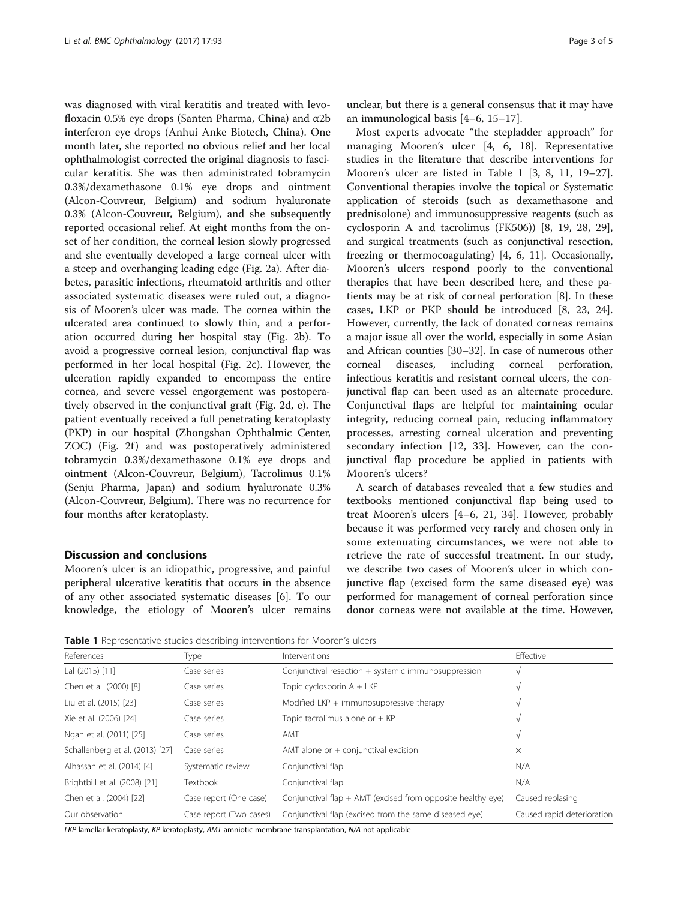was diagnosed with viral keratitis and treated with levofloxacin 0.5% eye drops (Santen Pharma, China) and α2b interferon eye drops (Anhui Anke Biotech, China). One month later, she reported no obvious relief and her local ophthalmologist corrected the original diagnosis to fascicular keratitis. She was then administrated tobramycin 0.3%/dexamethasone 0.1% eye drops and ointment (Alcon-Couvreur, Belgium) and sodium hyaluronate 0.3% (Alcon-Couvreur, Belgium), and she subsequently reported occasional relief. At eight months from the onset of her condition, the corneal lesion slowly progressed and she eventually developed a large corneal ulcer with a steep and overhanging leading edge (Fig. [2a\)](#page-1-0). After diabetes, parasitic infections, rheumatoid arthritis and other associated systematic diseases were ruled out, a diagnosis of Mooren's ulcer was made. The cornea within the ulcerated area continued to slowly thin, and a perforation occurred during her hospital stay (Fig. [2b](#page-1-0)). To avoid a progressive corneal lesion, conjunctival flap was performed in her local hospital (Fig. [2c\)](#page-1-0). However, the ulceration rapidly expanded to encompass the entire cornea, and severe vessel engorgement was postoperatively observed in the conjunctival graft (Fig. [2d, e\)](#page-1-0). The patient eventually received a full penetrating keratoplasty (PKP) in our hospital (Zhongshan Ophthalmic Center, ZOC) (Fig. [2f](#page-1-0)) and was postoperatively administered tobramycin 0.3%/dexamethasone 0.1% eye drops and ointment (Alcon-Couvreur, Belgium), Tacrolimus 0.1% (Senju Pharma, Japan) and sodium hyaluronate 0.3% (Alcon-Couvreur, Belgium). There was no recurrence for four months after keratoplasty.

### Discussion and conclusions

Mooren's ulcer is an idiopathic, progressive, and painful peripheral ulcerative keratitis that occurs in the absence of any other associated systematic diseases [[6\]](#page-4-0). To our knowledge, the etiology of Mooren's ulcer remains

unclear, but there is a general consensus that it may have an immunological basis [\[4](#page-4-0)–[6](#page-4-0), [15](#page-4-0)–[17\]](#page-4-0).

Most experts advocate "the stepladder approach" for managing Mooren's ulcer [[4, 6](#page-4-0), [18](#page-4-0)]. Representative studies in the literature that describe interventions for Mooren's ulcer are listed in Table 1 [[3, 8](#page-4-0), [11, 19](#page-4-0)–[27](#page-4-0)]. Conventional therapies involve the topical or Systematic application of steroids (such as dexamethasone and prednisolone) and immunosuppressive reagents (such as cyclosporin A and tacrolimus (FK506)) [[8, 19](#page-4-0), [28, 29](#page-4-0)], and surgical treatments (such as conjunctival resection, freezing or thermocoagulating) [\[4, 6, 11\]](#page-4-0). Occasionally, Mooren's ulcers respond poorly to the conventional therapies that have been described here, and these patients may be at risk of corneal perforation [\[8](#page-4-0)]. In these cases, LKP or PKP should be introduced [[8, 23, 24](#page-4-0)]. However, currently, the lack of donated corneas remains a major issue all over the world, especially in some Asian and African counties [\[30](#page-4-0)–[32\]](#page-4-0). In case of numerous other corneal diseases, including corneal perforation, infectious keratitis and resistant corneal ulcers, the conjunctival flap can been used as an alternate procedure. Conjunctival flaps are helpful for maintaining ocular integrity, reducing corneal pain, reducing inflammatory processes, arresting corneal ulceration and preventing secondary infection [[12, 33](#page-4-0)]. However, can the conjunctival flap procedure be applied in patients with Mooren's ulcers?

A search of databases revealed that a few studies and textbooks mentioned conjunctival flap being used to treat Mooren's ulcers [\[4](#page-4-0)–[6, 21](#page-4-0), [34\]](#page-4-0). However, probably because it was performed very rarely and chosen only in some extenuating circumstances, we were not able to retrieve the rate of successful treatment. In our study, we describe two cases of Mooren's ulcer in which conjunctive flap (excised form the same diseased eye) was performed for management of corneal perforation since donor corneas were not available at the time. However,

Table 1 Representative studies describing interventions for Mooren's ulcers

| References                      | Type                    | Interventions                                               | Effective                  |
|---------------------------------|-------------------------|-------------------------------------------------------------|----------------------------|
| Lal (2015) [11]                 | Case series             | Conjunctival resection + systemic immunosuppression         | V                          |
| Chen et al. (2000) [8]          | Case series             | Topic cyclosporin A + LKP                                   | V                          |
| Liu et al. (2015) [23]          | Case series             | Modified LKP $+$ immunosuppressive therapy                  | V                          |
| Xie et al. (2006) [24]          | Case series             | Topic tacrolimus alone or $+$ KP                            |                            |
| Ngan et al. (2011) [25]         | Case series             | AMT                                                         |                            |
| Schallenberg et al. (2013) [27] | Case series             | AMT alone or $+$ conjunctival excision                      | $\times$                   |
| Alhassan et al. (2014) [4]      | Systematic review       | Conjunctival flap                                           | N/A                        |
| Brightbill et al. (2008) [21]   | Textbook                | Conjunctival flap                                           | N/A                        |
| Chen et al. (2004) [22]         | Case report (One case)  | Conjunctival flap + AMT (excised from opposite healthy eye) | Caused replasing           |
| Our observation                 | Case report (Two cases) | Conjunctival flap (excised from the same diseased eye)      | Caused rapid deterioration |

LKP lamellar keratoplasty, KP keratoplasty, AMT amniotic membrane transplantation, N/A not applicable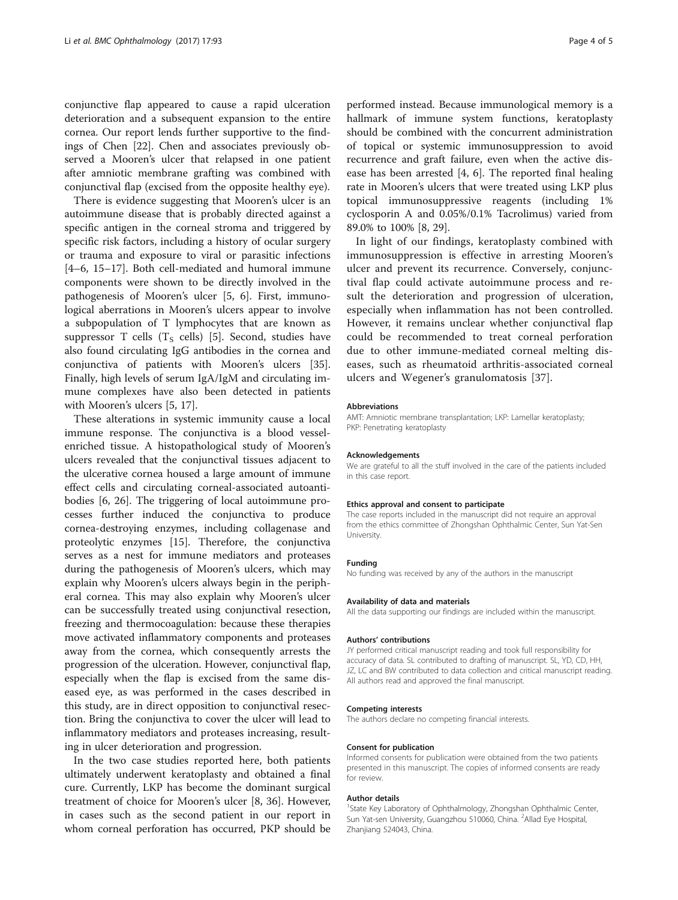conjunctive flap appeared to cause a rapid ulceration deterioration and a subsequent expansion to the entire cornea. Our report lends further supportive to the findings of Chen [[22\]](#page-4-0). Chen and associates previously observed a Mooren's ulcer that relapsed in one patient after amniotic membrane grafting was combined with conjunctival flap (excised from the opposite healthy eye).

There is evidence suggesting that Mooren's ulcer is an autoimmune disease that is probably directed against a specific antigen in the corneal stroma and triggered by specific risk factors, including a history of ocular surgery or trauma and exposure to viral or parasitic infections [[4](#page-4-0)–[6, 15](#page-4-0)–[17](#page-4-0)]. Both cell-mediated and humoral immune components were shown to be directly involved in the pathogenesis of Mooren's ulcer [[5, 6](#page-4-0)]. First, immunological aberrations in Mooren's ulcers appear to involve a subpopulation of T lymphocytes that are known as suppressor T cells  $(T_S \text{ cells})$  [[5\]](#page-4-0). Second, studies have also found circulating IgG antibodies in the cornea and conjunctiva of patients with Mooren's ulcers [\[35](#page-4-0)]. Finally, high levels of serum IgA/IgM and circulating immune complexes have also been detected in patients with Mooren's ulcers [[5, 17](#page-4-0)].

These alterations in systemic immunity cause a local immune response. The conjunctiva is a blood vesselenriched tissue. A histopathological study of Mooren's ulcers revealed that the conjunctival tissues adjacent to the ulcerative cornea housed a large amount of immune effect cells and circulating corneal-associated autoantibodies [[6, 26](#page-4-0)]. The triggering of local autoimmune processes further induced the conjunctiva to produce cornea-destroying enzymes, including collagenase and proteolytic enzymes [\[15](#page-4-0)]. Therefore, the conjunctiva serves as a nest for immune mediators and proteases during the pathogenesis of Mooren's ulcers, which may explain why Mooren's ulcers always begin in the peripheral cornea. This may also explain why Mooren's ulcer can be successfully treated using conjunctival resection, freezing and thermocoagulation: because these therapies move activated inflammatory components and proteases away from the cornea, which consequently arrests the progression of the ulceration. However, conjunctival flap, especially when the flap is excised from the same diseased eye, as was performed in the cases described in this study, are in direct opposition to conjunctival resection. Bring the conjunctiva to cover the ulcer will lead to inflammatory mediators and proteases increasing, resulting in ulcer deterioration and progression.

In the two case studies reported here, both patients ultimately underwent keratoplasty and obtained a final cure. Currently, LKP has become the dominant surgical treatment of choice for Mooren's ulcer [[8, 36\]](#page-4-0). However, in cases such as the second patient in our report in whom corneal perforation has occurred, PKP should be

performed instead. Because immunological memory is a hallmark of immune system functions, keratoplasty should be combined with the concurrent administration of topical or systemic immunosuppression to avoid recurrence and graft failure, even when the active disease has been arrested [\[4, 6\]](#page-4-0). The reported final healing rate in Mooren's ulcers that were treated using LKP plus topical immunosuppressive reagents (including 1% cyclosporin A and 0.05%/0.1% Tacrolimus) varied from 89.0% to 100% [\[8](#page-4-0), [29](#page-4-0)].

In light of our findings, keratoplasty combined with immunosuppression is effective in arresting Mooren's ulcer and prevent its recurrence. Conversely, conjunctival flap could activate autoimmune process and result the deterioration and progression of ulceration, especially when inflammation has not been controlled. However, it remains unclear whether conjunctival flap could be recommended to treat corneal perforation due to other immune-mediated corneal melting diseases, such as rheumatoid arthritis-associated corneal ulcers and Wegener's granulomatosis [\[37](#page-4-0)].

#### Abbreviations

AMT: Amniotic membrane transplantation; LKP: Lamellar keratoplasty; PKP: Penetrating keratoplasty

#### Acknowledgements

We are grateful to all the stuff involved in the care of the patients included in this case report.

#### Ethics approval and consent to participate

The case reports included in the manuscript did not require an approval from the ethics committee of Zhongshan Ophthalmic Center, Sun Yat-Sen University.

#### Funding

No funding was received by any of the authors in the manuscript

#### Availability of data and materials

All the data supporting our findings are included within the manuscript.

#### Authors' contributions

JY performed critical manuscript reading and took full responsibility for accuracy of data. SL contributed to drafting of manuscript. SL, YD, CD, HH, JZ, LC and BW contributed to data collection and critical manuscript reading. All authors read and approved the final manuscript.

#### Competing interests

The authors declare no competing financial interests.

#### Consent for publication

Informed consents for publication were obtained from the two patients presented in this manuscript. The copies of informed consents are ready for review.

#### Author details

<sup>1</sup>State Key Laboratory of Ophthalmology, Zhongshan Ophthalmic Center, Sun Yat-sen University, Guangzhou 510060, China. <sup>2</sup>Allad Eye Hospital Zhanjiang 524043, China.